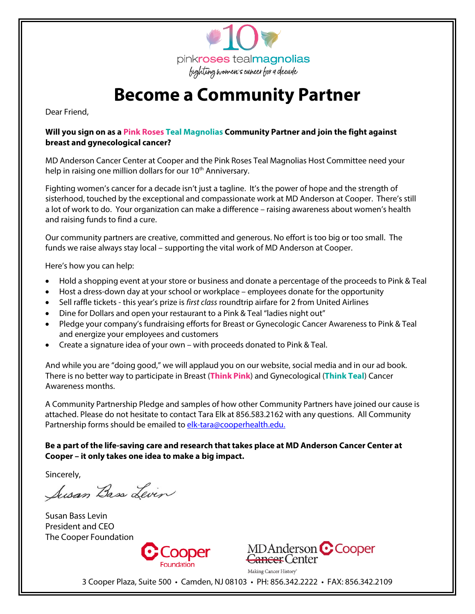

# **Become a Community Partner**

Dear Friend,

#### **Will you sign on as a Pink Roses Teal Magnolias Community Partner and join the fight against breast and gynecological cancer?**

MD Anderson Cancer Center at Cooper and the Pink Roses Teal Magnolias Host Committee need your help in raising one million dollars for our 10<sup>th</sup> Anniversary.

Fighting women's cancer for a decade isn't just a tagline. It's the power of hope and the strength of sisterhood, touched by the exceptional and compassionate work at MD Anderson at Cooper. There's still a lot of work to do. Your organization can make a difference – raising awareness about women's health and raising funds to find a cure.

Our community partners are creative, committed and generous. No effort is too big or too small. The funds we raise always stay local – supporting the vital work of MD Anderson at Cooper.

Here's how you can help:

- Hold a shopping event at your store or business and donate a percentage of the proceeds to Pink & Teal
- Host a dress-down day at your school or workplace employees donate for the opportunity
- Sell raffle tickets this year's prize is *first class* roundtrip airfare for 2 from United Airlines
- Dine for Dollars and open your restaurant to a Pink & Teal "ladies night out"
- Pledge your company's fundraising efforts for Breast or Gynecologic Cancer Awareness to Pink & Teal and energize your employees and customers
- Create a signature idea of your own with proceeds donated to Pink & Teal.

And while you are "doing good," we will applaud you on our website, social media and in our ad book. There is no better way to participate in Breast (**Think Pink**) and Gynecological (**Think Teal**) Cancer Awareness months.

A Community Partnership Pledge and samples of how other Community Partners have joined our cause is attached. Please do not hesitate to contact Tara Elk at 856.583.2162 with any questions. All Community Partnership forms should be emailed to elk-tara@cooperhealth.edu.

#### **Be a part of the life-saving care and research that takes place at MD Anderson Cancer Center at Cooper – it only takes one idea to make a big impact.**

Sincerely,

Susan Bass Levin

Susan Bass Levin President and CEO The Cooper Foundation





Making Cancer History<sup>®</sup>

3 Cooper Plaza, Suite 500 • Camden, NJ 08103 • PH: 856.342.2222 • FAX: 856.342.2109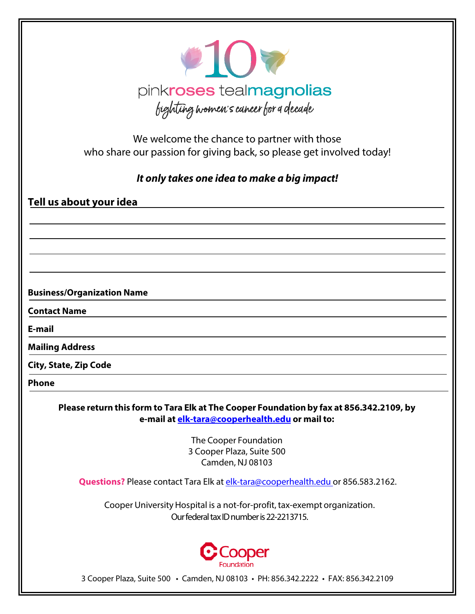

We welcome the chance to partner with those who share our passion for giving back, so please get involved today!

*It only takes one idea to make a big impact!*

## **Tell us about your idea**

### **Business/Organization Name**

**Contact Name**

**E-mail**

**Mailing Address**

**City, State, Zip Code**

**Phone**

**Please return this form to Tara Elk at The Cooper Foundation by fax at 856.342.2109, by e-mail at [elk-tara@cooperhealth.edu](mailto:elk-tara@cooperhealth.edu) or mail to:**

> The Cooper Foundation 3 Cooper Plaza, Suite 500 Camden, NJ 08103

**Questions?** Please contact Tara Elk at elk-tara@cooperhealth.edu or 856.583.2162.

Cooper University Hospital is a not-for-profit, tax-exempt organization. Our federal tax ID number is 22-2213715.



3 Cooper Plaza, Suite 500 • Camden, NJ 08103 • PH: 856.342.2222 • FAX: 856.342.2109